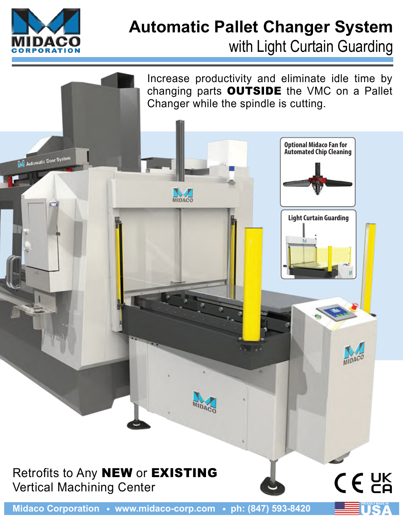

# **Automatic Pallet Changer System** with Light Curtain Guarding



**Midaco Corporation • www.midaco-corp.com • ph: (847) 593-8420**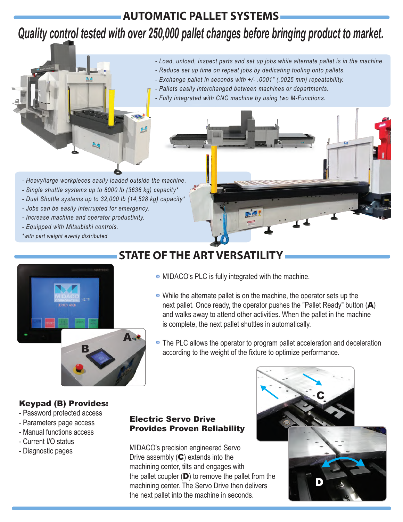## **AUTOMATIC PALLET SYSTEMS**

## *Quality control tested with over 250,000 pallet changes before bringing product to market.*



- *Load, unload, inspect parts and set up jobs while alternate pallet is in the machine.*
- *Reduce set up time on repeat jobs by dedicating tooling onto pallets.*
- *Exchange pallet in seconds with +/- .0001" (.0025 mm) repeatability.*
- *Pallets easily interchanged between machines or departments.*
- *Fully integrated with CNC machine by using two M-Functions.*

- *Heavy/large workpieces easily loaded outside the machine.*
- *Single shuttle systems up to 8000 lb (3636 kg) capacity\**
- *Dual Shuttle systems up to 32,000 lb (14,528 kg) capacity\**
- *Jobs can be easily interrupted for emergency.*
- *Increase machine and operator productivity.*
- *Equipped with Mitsubishi controls.*
- *\*with part weight evenly distributed*



## **STATE OF THE ART VERSAT**

- MIDACO's PLC is fully integrated with the machine.
- While the alternate pallet is on the machine, the operator sets up the next pallet. Once ready, the operator pushes the "Pallet Ready" button  $(A)$ and walks away to attend other activities. When the pallet in the machine is complete, the next pallet shuttles in automatically.
- The PLC allows the operator to program pallet acceleration and deceleration according to the weight of the fixture to optimize performance.

### Keypad (B) Provides:

- Password protected access
- Parameters page access
- Manual functions access
- Current I/O status
- Diagnostic pages

#### Electric Servo Drive Provides Proven Reliability

MIDACO's precision engineered Servo Drive assembly  $(C)$  extends into the machining center, tilts and engages with the pallet coupler  $(D)$  to remove the pallet from the machining center. The Servo Drive then delivers the next pallet into the machine in seconds.

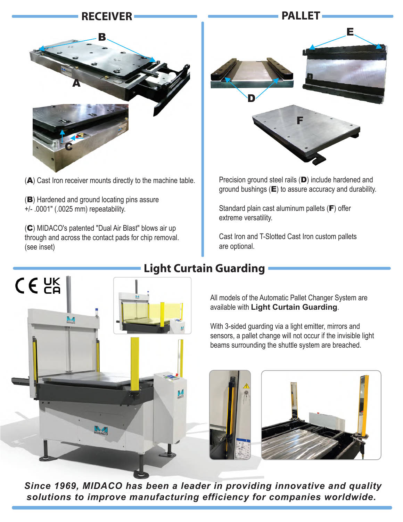## **RECEIVER**



(A) Cast Iron receiver mounts directly to the machine table.

(B) Hardened and ground locating pins assure +/- .0001" (.0025 mm) repeatability.

 $C \in \mathcal{C}^{\text{UK}}_{\text{A}}$ 

(C) MIDACO's patented "Dual Air Blast" blows air up through and across the contact pads for chip removal. (see inset)



Precision ground steel rails (D) include hardened and ground bushings  $(E)$  to assure accuracy and durability.

Standard plain cast aluminum pallets (F) offer extreme versatility.

Cast Iron and T-Slotted Cast Iron custom pallets are optional.

## **Light Curtain Guarding**



With 3-sided guarding via a light emitter, mirrors and sensors, a pallet change will not occur if the invisible light beams surrounding the shuttle system are breached.



*Since 1969, MIDACO has been a leader in providing innovative and quality solutions to improve manufacturing efficiency for companies worldwide.*